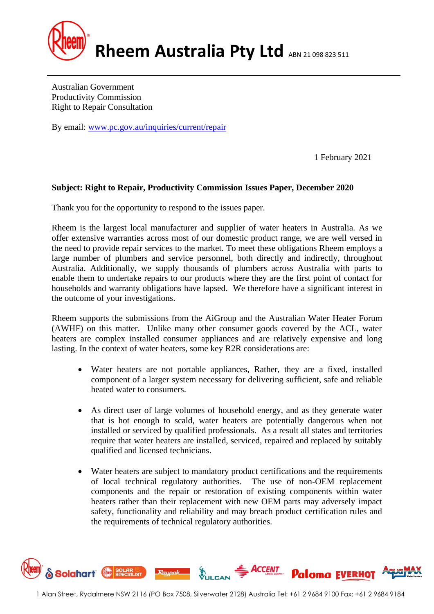

Australian Government Productivity Commission Right to Repair Consultation

By email: [www.pc.gov.au/inquiries/current/repair](http://www.pc.gov.au/inquiries/current/repair)

1 February 2021

## **Subject: Right to Repair, Productivity Commission Issues Paper, December 2020**

Thank you for the opportunity to respond to the issues paper.

Rheem is the largest local manufacturer and supplier of water heaters in Australia. As we offer extensive warranties across most of our domestic product range, we are well versed in the need to provide repair services to the market. To meet these obligations Rheem employs a large number of plumbers and service personnel, both directly and indirectly, throughout Australia. Additionally, we supply thousands of plumbers across Australia with parts to enable them to undertake repairs to our products where they are the first point of contact for households and warranty obligations have lapsed. We therefore have a significant interest in the outcome of your investigations.

Rheem supports the submissions from the AiGroup and the Australian Water Heater Forum (AWHF) on this matter. Unlike many other consumer goods covered by the ACL, water heaters are complex installed consumer appliances and are relatively expensive and long lasting. In the context of water heaters, some key R2R considerations are:

- Water heaters are not portable appliances, Rather, they are a fixed, installed component of a larger system necessary for delivering sufficient, safe and reliable heated water to consumers.
- As direct user of large volumes of household energy, and as they generate water that is hot enough to scald, water heaters are potentially dangerous when not installed or serviced by qualified professionals. As a result all states and territories require that water heaters are installed, serviced, repaired and replaced by suitably qualified and licensed technicians.
- Water heaters are subject to mandatory product certifications and the requirements of local technical regulatory authorities. The use of non-OEM replacement components and the repair or restoration of existing components within water heaters rather than their replacement with new OEM parts may adversely impact safety, functionality and reliability and may breach product certification rules and the requirements of technical regulatory authorities.

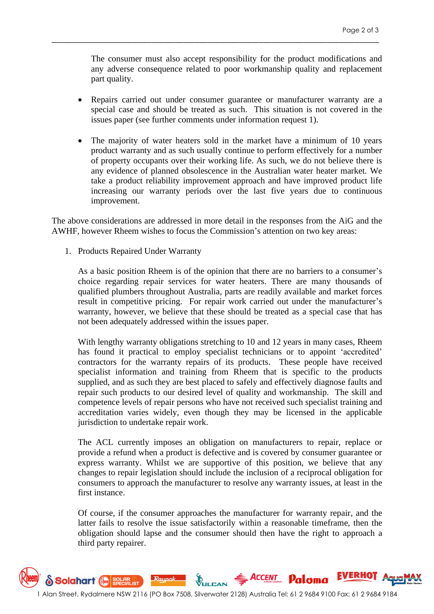The consumer must also accept responsibility for the product modifications and any adverse consequence related to poor workmanship quality and replacement part quality.

\_\_\_\_\_\_\_\_\_\_\_\_\_\_\_\_\_\_\_\_\_\_\_\_\_\_\_\_\_\_\_\_\_\_\_\_\_\_\_\_\_\_\_\_\_\_\_\_\_\_\_\_\_\_\_\_\_\_\_\_\_\_\_\_\_\_\_\_\_\_\_\_\_\_\_\_\_\_\_\_\_\_

- Repairs carried out under consumer guarantee or manufacturer warranty are a special case and should be treated as such. This situation is not covered in the issues paper (see further comments under information request 1).
- The majority of water heaters sold in the market have a minimum of 10 years product warranty and as such usually continue to perform effectively for a number of property occupants over their working life. As such, we do not believe there is any evidence of planned obsolescence in the Australian water heater market. We take a product reliability improvement approach and have improved product life increasing our warranty periods over the last five years due to continuous improvement.

The above considerations are addressed in more detail in the responses from the AiG and the AWHF, however Rheem wishes to focus the Commission's attention on two key areas:

1. Products Repaired Under Warranty

As a basic position Rheem is of the opinion that there are no barriers to a consumer's choice regarding repair services for water heaters. There are many thousands of qualified plumbers throughout Australia, parts are readily available and market forces result in competitive pricing. For repair work carried out under the manufacturer's warranty, however, we believe that these should be treated as a special case that has not been adequately addressed within the issues paper.

With lengthy warranty obligations stretching to 10 and 12 years in many cases, Rheem has found it practical to employ specialist technicians or to appoint 'accredited' contractors for the warranty repairs of its products. These people have received specialist information and training from Rheem that is specific to the products supplied, and as such they are best placed to safely and effectively diagnose faults and repair such products to our desired level of quality and workmanship. The skill and competence levels of repair persons who have not received such specialist training and accreditation varies widely, even though they may be licensed in the applicable jurisdiction to undertake repair work.

The ACL currently imposes an obligation on manufacturers to repair, replace or provide a refund when a product is defective and is covered by consumer guarantee or express warranty. Whilst we are supportive of this position, we believe that any changes to repair legislation should include the inclusion of a reciprocal obligation for consumers to approach the manufacturer to resolve any warranty issues, at least in the first instance.

Of course, if the consumer approaches the manufacturer for warranty repair, and the latter fails to resolve the issue satisfactorily within a reasonable timeframe, then the obligation should lapse and the consumer should then have the right to approach a third party repairer.